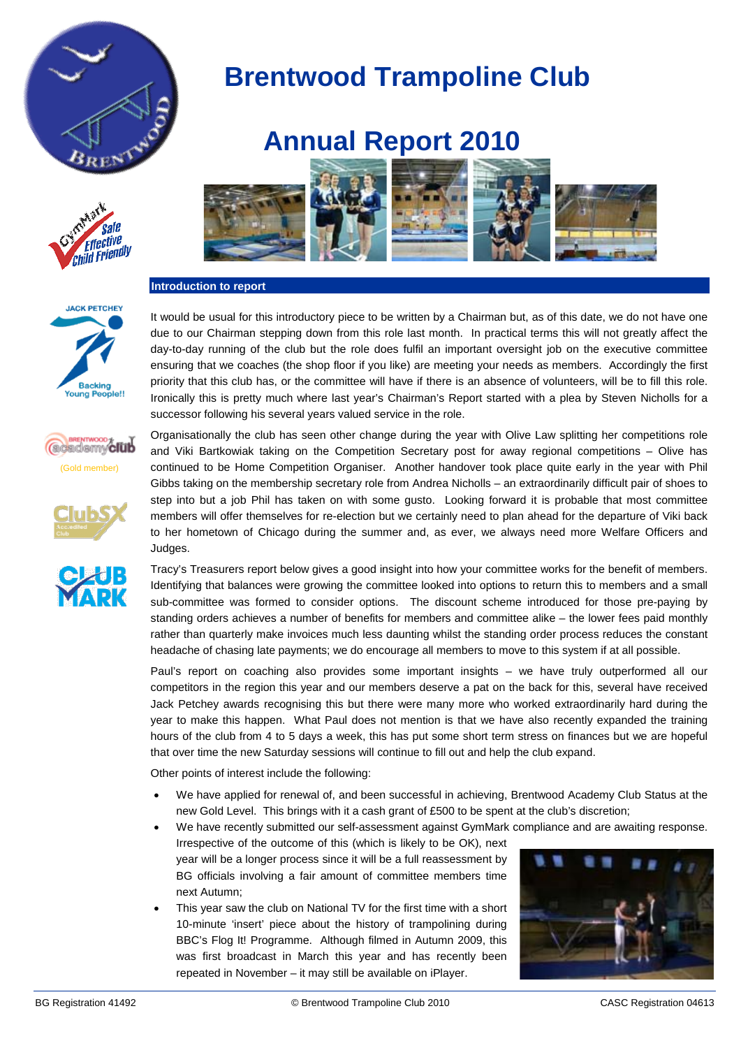



**JACK PETCHEY** 

**Backing Young Peop** 

الملأ

(Gold member)

*acadsmyclub* 



**Annual Report 2010**

 **Brentwood Trampoline Club**

#### **Introduction to report**

It would be usual for this introductory piece to be written by a Chairman but, as of this date, we do not have one due to our Chairman stepping down from this role last month. In practical terms this will not greatly affect the day-to-day running of the club but the role does fulfil an important oversight job on the executive committee ensuring that we coaches (the shop floor if you like) are meeting your needs as members. Accordingly the first priority that this club has, or the committee will have if there is an absence of volunteers, will be to fill this role. Ironically this is pretty much where last year's Chairman's Report started with a plea by Steven Nicholls for a successor following his several years valued service in the role.

Organisationally the club has seen other change during the year with Olive Law splitting her competitions role and Viki Bartkowiak taking on the Competition Secretary post for away regional competitions – Olive has continued to be Home Competition Organiser. Another handover took place quite early in the year with Phil Gibbs taking on the membership secretary role from Andrea Nicholls – an extraordinarily difficult pair of shoes to step into but a job Phil has taken on with some gusto. Looking forward it is probable that most committee members will offer themselves for re-election but we certainly need to plan ahead for the departure of Viki back to her hometown of Chicago during the summer and, as ever, we always need more Welfare Officers and Judges.

Tracy's Treasurers report below gives a good insight into how your committee works for the benefit of members. Identifying that balances were growing the committee looked into options to return this to members and a small sub-committee was formed to consider options. The discount scheme introduced for those pre-paying by standing orders achieves a number of benefits for members and committee alike – the lower fees paid monthly rather than quarterly make invoices much less daunting whilst the standing order process reduces the constant headache of chasing late payments; we do encourage all members to move to this system if at all possible.

Paul's report on coaching also provides some important insights – we have truly outperformed all our competitors in the region this year and our members deserve a pat on the back for this, several have received Jack Petchey awards recognising this but there were many more who worked extraordinarily hard during the year to make this happen. What Paul does not mention is that we have also recently expanded the training hours of the club from 4 to 5 days a week, this has put some short term stress on finances but we are hopeful that over time the new Saturday sessions will continue to fill out and help the club expand.

Other points of interest include the following:

- We have applied for renewal of, and been successful in achieving, Brentwood Academy Club Status at the new Gold Level. This brings with it a cash grant of £500 to be spent at the club's discretion;
- We have recently submitted our self-assessment against GymMark compliance and are awaiting response. Irrespective of the outcome of this (which is likely to be OK), next year will be a longer process since it will be a full reassessment by BG officials involving a fair amount of committee members time next Autumn;
- This year saw the club on National TV for the first time with a short 10-minute 'insert' piece about the history of trampolining during BBC's Flog It! Programme. Although filmed in Autumn 2009, this was first broadcast in March this year and has recently been repeated in November – it may still be available on iPlayer.



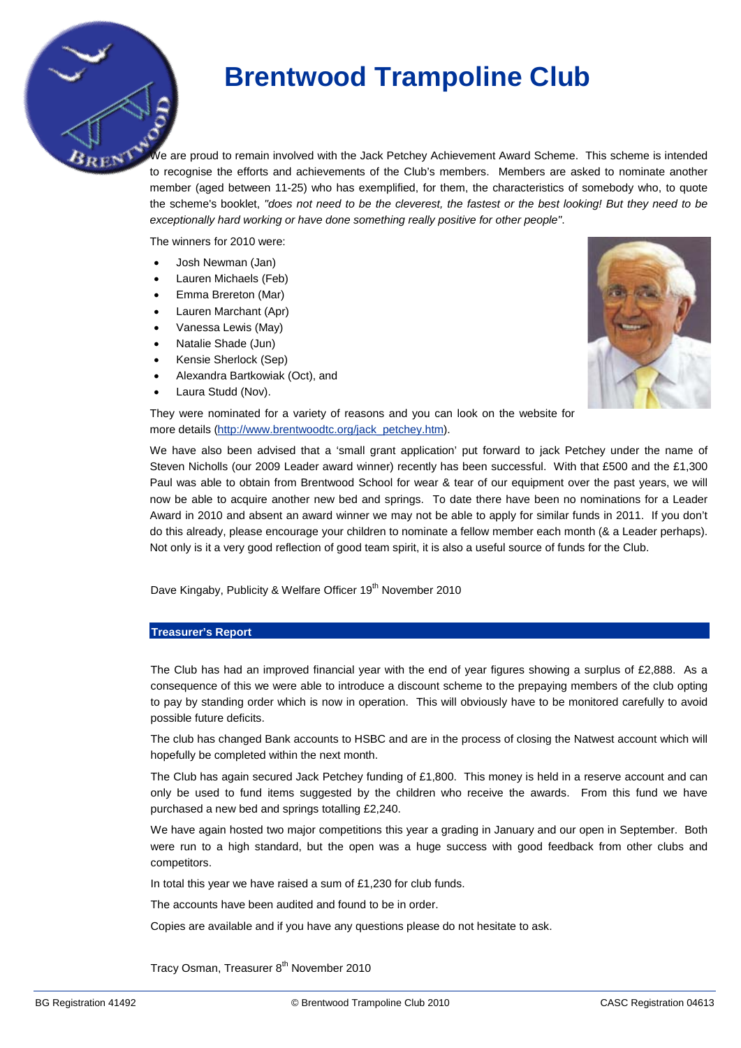## **Brentwood Trampoline Club**

We are proud to remain involved with the Jack Petchey Achievement Award Scheme. This scheme is intended to recognise the efforts and achievements of the Club's members. Members are asked to nominate another member (aged between 11-25) who has exemplified, for them, the characteristics of somebody who, to quote the scheme's booklet, *"does not need to be the cleverest, the fastest or the best looking! But they need to be exceptionally hard working or have done something really positive for other people"*.

The winners for 2010 were:

- Josh Newman (Jan)
- Lauren Michaels (Feb)
- Emma Brereton (Mar)
- Lauren Marchant (Apr)
- Vanessa Lewis (May)
- Natalie Shade (Jun)
- Kensie Sherlock (Sep)
- Alexandra Bartkowiak (Oct), and
- Laura Studd (Nov).



They were nominated for a variety of reasons and you can look on the website for more details [\(http://www.brentwoodtc.org/jack\\_petchey.htm\)](http://www.brentwoodtc.org/jack_petchey.htm).

We have also been advised that a 'small grant application' put forward to jack Petchey under the name of Steven Nicholls (our 2009 Leader award winner) recently has been successful. With that £500 and the £1,300 Paul was able to obtain from Brentwood School for wear & tear of our equipment over the past years, we will now be able to acquire another new bed and springs. To date there have been no nominations for a Leader Award in 2010 and absent an award winner we may not be able to apply for similar funds in 2011. If you don't do this already, please encourage your children to nominate a fellow member each month (& a Leader perhaps). Not only is it a very good reflection of good team spirit, it is also a useful source of funds for the Club.

Dave Kingaby, Publicity & Welfare Officer 19<sup>th</sup> November 2010

### **Treasurer's Report**

The Club has had an improved financial year with the end of year figures showing a surplus of  $E2,888$ . As a consequence of this we were able to introduce a discount scheme to the prepaying members of the club opting to pay by standing order which is now in operation. This will obviously have to be monitored carefully to avoid possible future deficits.

The club has changed Bank accounts to HSBC and are in the process of closing the Natwest account which will hopefully be completed within the next month.

The Club has again secured Jack Petchey funding of £1,800. This money is held in a reserve account and can only be used to fund items suggested by the children who receive the awards. From this fund we have purchased a new bed and springs totalling £2,240.

We have again hosted two major competitions this year a grading in January and our open in September. Both were run to a high standard, but the open was a huge success with good feedback from other clubs and competitors.

In total this year we have raised a sum of £1,230 for club funds.

The accounts have been audited and found to be in order.

Copies are available and if you have any questions please do not hesitate to ask.

Tracy Osman, Treasurer 8<sup>th</sup> November 2010